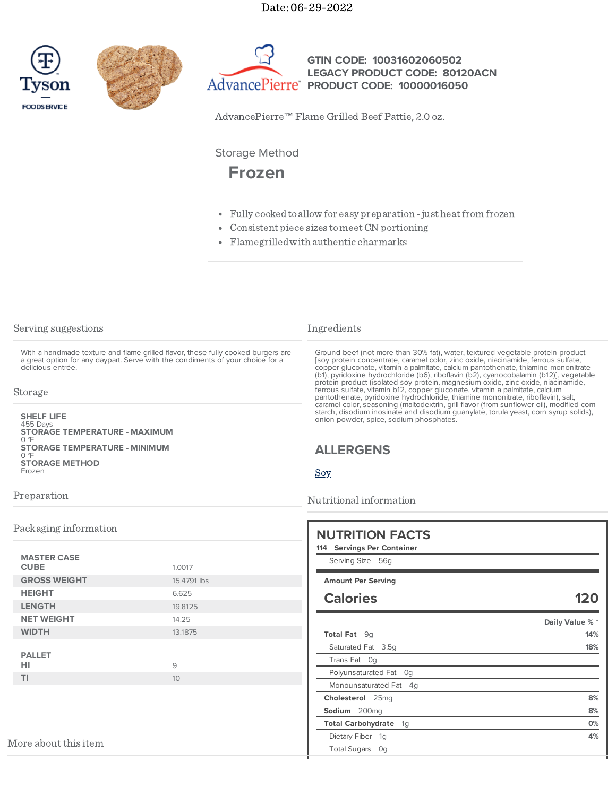Date: 06-29-2022







**GTIN CODE: 10031602060502 LEGACY PRODUCT CODE: 80120ACN PRODUCT CODE: 10000016050**

AdvancePierre™ Flame Grilled Beef Pattie, 2.0 oz.

Storage Method

# **Frozen**

- Fully cooked to allow for easy preparation just heat from frozen
- Consistent piece sizes tomeetCN portioning
- Flamegrilledwith authentic charmarks

| Serving suggestions |  |
|---------------------|--|
|---------------------|--|

With a handmade texture and flame grilled flavor, these fully cooked burgers are a great option for any daypart. Serve with the condiments of your choice for a delicious entrée.

#### Storage

455 Days 0 °F 0 °F Frozen **SHELF LIFE STORAGE TEMPERATURE - MAXIMUM STORAGE TEMPERATURE - MINIMUM STORAGE METHOD**

### Ingredients

Ground beef (not more than 30% fat), water, textured vegetable protein product [soy protein concentrate, caramel color, zinc oxide, niacinamide, ferrous sulfate, copper gluconate, vitamin a palmitate, calcium pantothenate, thiamine mononitrate (b1), pyridoxine hydrochloride (b6), riboflavin (b2), cyanocobalamin (b12)], vegetable protein product (isolated soy protein, magnesium oxide, zinc oxide, niacinamide, ferrous sulfate, vitamin b12, copper gluconate, vitamin a palmitate, calcium pantothenate, pyridoxine hydrochloride, thiamine mononitrate, riboflavin), salt, caramel color, seasoning (maltodextrin, grill flavor (from sunflower oil), modified corn starch, disodium inosinate and disodium guanylate, torula yeast, corn syrup solids), onion powder, spice, sodium phosphates.

# **ALLERGENS**

[Soy](https://www.tysonfoodservice.com/taxonomy/term/4421)

Nutritional information

| 12(             |
|-----------------|
|                 |
| Daily Value % * |
|                 |
|                 |
|                 |
|                 |
|                 |
|                 |
|                 |
|                 |
|                 |
|                 |

#### Preparation

### Packaging information

| <b>MASTER CASE</b><br><b>CUBE</b><br>1.0017 |  |
|---------------------------------------------|--|
| <b>GROSS WEIGHT</b><br>15.4791 lbs          |  |
| <b>HEIGHT</b><br>6.625                      |  |
| <b>LENGTH</b><br>19.8125                    |  |
| <b>NET WEIGHT</b><br>14.25                  |  |
| <b>WIDTH</b><br>13.1875                     |  |
| <b>PALLET</b><br>HI<br>9                    |  |
| TI<br>10                                    |  |
|                                             |  |

More about this item